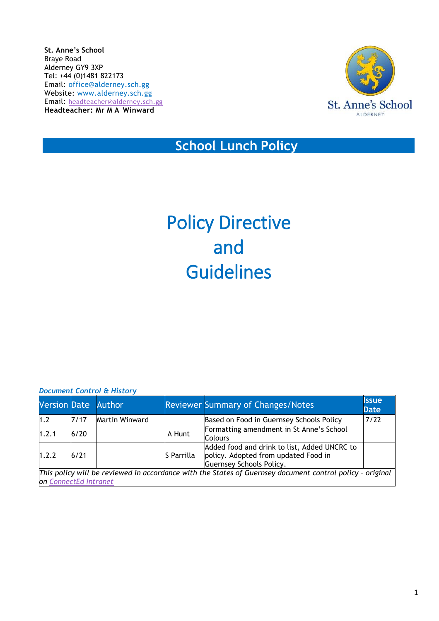**St. Anne's School** Braye Road Alderney GY9 3XP Tel: +44 (0)1481 822173 Email: [office@alderney.sch.gg](mailto:office@alderney.sch.gg) Website: [www.alderney.sch.gg](http://www.alderney.sch.gg/) Email: [headteacher@alderney.sch.gg](mailto:headteacher@alderney.sch.gg) **Headteacher: Mr M A Winward**



# **School Lunch Policy**

# Policy Directive and Guidelines

| <b>Document Control &amp; History</b> |
|---------------------------------------|
|---------------------------------------|

| <b>Version Date Author</b>                                                                                |        |                |            | <b>Reviewer Summary of Changes/Notes</b>                                                                                | <b>Issue</b><br><b>Date</b> |  |
|-----------------------------------------------------------------------------------------------------------|--------|----------------|------------|-------------------------------------------------------------------------------------------------------------------------|-----------------------------|--|
| 1.2                                                                                                       | 7/17   | Martin Winward |            | Based on Food in Guernsey Schools Policy                                                                                | 7/22                        |  |
| 1.2.1                                                                                                     | $6/20$ |                | A Hunt     | Formatting amendment in St Anne's School<br><b>Colours</b>                                                              |                             |  |
| 1.2.2                                                                                                     | 6/21   |                | S Parrilla | Added food and drink to list, Added UNCRC to<br>policy. Adopted from updated Food in<br><b>Guernsey Schools Policy.</b> |                             |  |
| This policy will be reviewed in accordance with the States of Guernsey document control policy - original |        |                |            |                                                                                                                         |                             |  |
| on ConnectEd Intranet                                                                                     |        |                |            |                                                                                                                         |                             |  |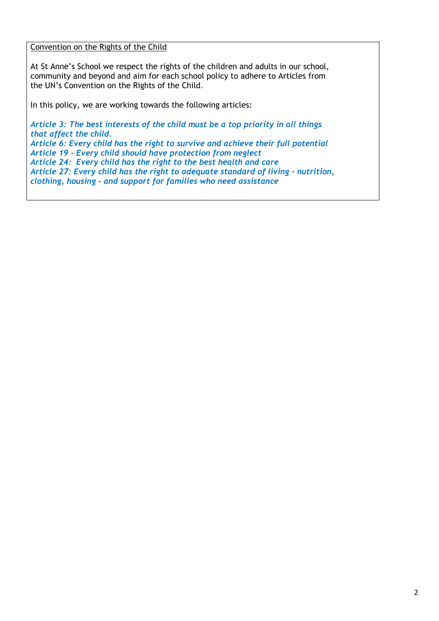Convention on the Rights of the Child

At St Anne's School we respect the rights of the children and adults in our school, community and beyond and aim for each school policy to adhere to Articles from the UN's Convention on the Rights of the Child*.*

In this policy, we are working towards the following articles:

*Article 3: The best interests of the child must be a top priority in all things that affect the child. Article 6: Every child has the right to survive and achieve their full potential Article 19 – Every child should have protection from neglect Article 24: Every child has the right to the best health and care Article 27: Every child has the right to adequate standard of living – nutrition, clothing, housing – and support for families who need assistance*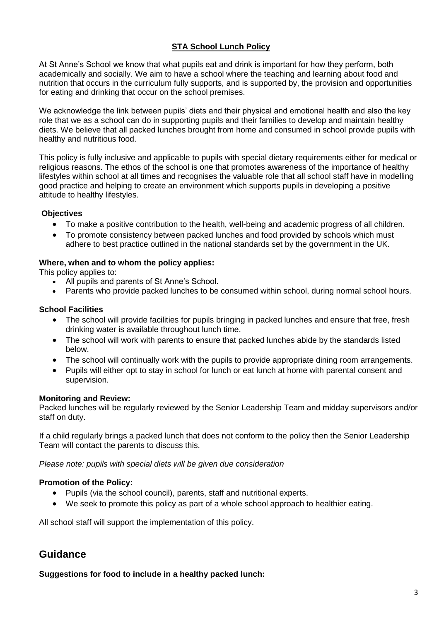# **STA School Lunch Policy**

At St Anne's School we know that what pupils eat and drink is important for how they perform, both academically and socially. We aim to have a school where the teaching and learning about food and nutrition that occurs in the curriculum fully supports, and is supported by, the provision and opportunities for eating and drinking that occur on the school premises.

We acknowledge the link between pupils' diets and their physical and emotional health and also the key role that we as a school can do in supporting pupils and their families to develop and maintain healthy diets. We believe that all packed lunches brought from home and consumed in school provide pupils with healthy and nutritious food.

This policy is fully inclusive and applicable to pupils with special dietary requirements either for medical or religious reasons. The ethos of the school is one that promotes awareness of the importance of healthy lifestyles within school at all times and recognises the valuable role that all school staff have in modelling good practice and helping to create an environment which supports pupils in developing a positive attitude to healthy lifestyles.

#### **Objectives**

- To make a positive contribution to the health, well-being and academic progress of all children.
- To promote consistency between packed lunches and food provided by schools which must adhere to best practice outlined in the national standards set by the government in the UK.

#### **Where, when and to whom the policy applies:**

This policy applies to:

- All pupils and parents of St Anne's School.
- Parents who provide packed lunches to be consumed within school, during normal school hours.

#### **School Facilities**

- The school will provide facilities for pupils bringing in packed lunches and ensure that free, fresh drinking water is available throughout lunch time.
- The school will work with parents to ensure that packed lunches abide by the standards listed below.
- The school will continually work with the pupils to provide appropriate dining room arrangements.
- Pupils will either opt to stay in school for lunch or eat lunch at home with parental consent and supervision.

#### **Monitoring and Review:**

Packed lunches will be regularly reviewed by the Senior Leadership Team and midday supervisors and/or staff on duty.

If a child regularly brings a packed lunch that does not conform to the policy then the Senior Leadership Team will contact the parents to discuss this.

*Please note: pupils with special diets will be given due consideration*

#### **Promotion of the Policy:**

- Pupils (via the school council), parents, staff and nutritional experts.
- We seek to promote this policy as part of a whole school approach to healthier eating.

All school staff will support the implementation of this policy.

# **Guidance**

**Suggestions for food to include in a healthy packed lunch:**